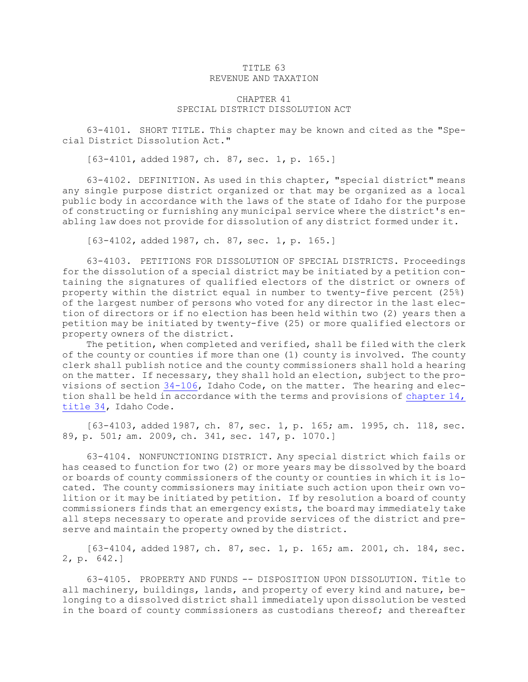## TITLE 63 REVENUE AND TAXATION

## CHAPTER 41 SPECIAL DISTRICT DISSOLUTION ACT

63-4101. SHORT TITLE. This chapter may be known and cited as the "Special District Dissolution Act."

[63-4101, added 1987, ch. 87, sec. 1, p. 165.]

63-4102. DEFINITION. As used in this chapter, "special district" means any single purpose district organized or that may be organized as <sup>a</sup> local public body in accordance with the laws of the state of Idaho for the purpose of constructing or furnishing any municipal service where the district's enabling law does not provide for dissolution of any district formed under it.

[63-4102, added 1987, ch. 87, sec. 1, p. 165.]

63-4103. PETITIONS FOR DISSOLUTION OF SPECIAL DISTRICTS. Proceedings for the dissolution of <sup>a</sup> special district may be initiated by <sup>a</sup> petition containing the signatures of qualified electors of the district or owners of property within the district equal in number to twenty-five percent (25%) of the largest number of persons who voted for any director in the last election of directors or if no election has been held within two (2) years then <sup>a</sup> petition may be initiated by twenty-five (25) or more qualified electors or property owners of the district.

The petition, when completed and verified, shall be filed with the clerk of the county or counties if more than one (1) county is involved. The county clerk shall publish notice and the county commissioners shall hold <sup>a</sup> hearing on the matter. If necessary, they shall hold an election, subject to the provisions of section [34-106](https://legislature.idaho.gov/statutesrules/idstat/Title34/T34CH1/SECT34-106), Idaho Code, on the matter. The hearing and election shall be held in accordance with the terms and provisions of [chapter](https://legislature.idaho.gov/statutesrules/idstat/Title34/T34CH14) 14, [title](https://legislature.idaho.gov/statutesrules/idstat/Title34/T34CH14) 34, Idaho Code.

[63-4103, added 1987, ch. 87, sec. 1, p. 165; am. 1995, ch. 118, sec. 89, p. 501; am. 2009, ch. 341, sec. 147, p. 1070.]

63-4104. NONFUNCTIONING DISTRICT. Any special district which fails or has ceased to function for two (2) or more years may be dissolved by the board or boards of county commissioners of the county or counties in which it is located. The county commissioners may initiate such action upon their own volition or it may be initiated by petition. If by resolution <sup>a</sup> board of county commissioners finds that an emergency exists, the board may immediately take all steps necessary to operate and provide services of the district and preserve and maintain the property owned by the district.

[63-4104, added 1987, ch. 87, sec. 1, p. 165; am. 2001, ch. 184, sec. 2, p. 642.]

63-4105. PROPERTY AND FUNDS -- DISPOSITION UPON DISSOLUTION. Title to all machinery, buildings, lands, and property of every kind and nature, belonging to <sup>a</sup> dissolved district shall immediately upon dissolution be vested in the board of county commissioners as custodians thereof; and thereafter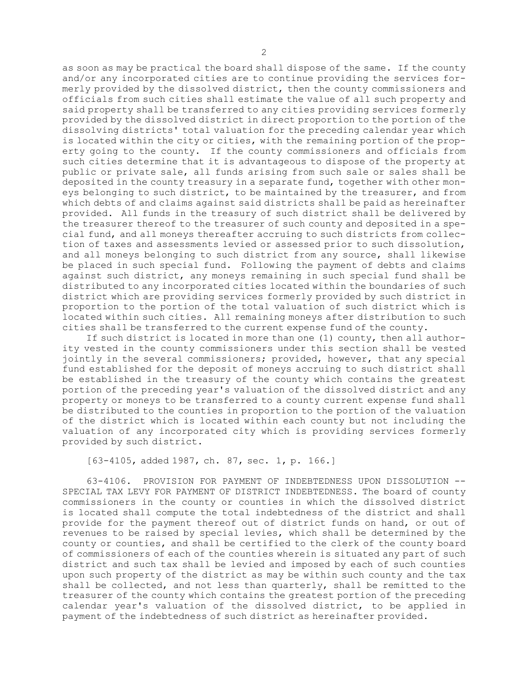as soon as may be practical the board shall dispose of the same. If the county and/or any incorporated cities are to continue providing the services formerly provided by the dissolved district, then the county commissioners and officials from such cities shall estimate the value of all such property and said property shall be transferred to any cities providing services formerly provided by the dissolved district in direct proportion to the portion of the dissolving districts' total valuation for the preceding calendar year which is located within the city or cities, with the remaining portion of the property going to the county. If the county commissioners and officials from such cities determine that it is advantageous to dispose of the property at public or private sale, all funds arising from such sale or sales shall be deposited in the county treasury in <sup>a</sup> separate fund, together with other moneys belonging to such district, to be maintained by the treasurer, and from which debts of and claims against said districts shall be paid as hereinafter provided. All funds in the treasury of such district shall be delivered by the treasurer thereof to the treasurer of such county and deposited in <sup>a</sup> special fund, and all moneys thereafter accruing to such districts from collection of taxes and assessments levied or assessed prior to such dissolution, and all moneys belonging to such district from any source, shall likewise be placed in such special fund. Following the payment of debts and claims against such district, any moneys remaining in such special fund shall be distributed to any incorporated cities located within the boundaries of such district which are providing services formerly provided by such district in proportion to the portion of the total valuation of such district which is located within such cities. All remaining moneys after distribution to such cities shall be transferred to the current expense fund of the county.

If such district is located in more than one (1) county, then all authority vested in the county commissioners under this section shall be vested jointly in the several commissioners; provided, however, that any special fund established for the deposit of moneys accruing to such district shall be established in the treasury of the county which contains the greatest portion of the preceding year's valuation of the dissolved district and any property or moneys to be transferred to <sup>a</sup> county current expense fund shall be distributed to the counties in proportion to the portion of the valuation of the district which is located within each county but not including the valuation of any incorporated city which is providing services formerly provided by such district.

[63-4105, added 1987, ch. 87, sec. 1, p. 166.]

63-4106. PROVISION FOR PAYMENT OF INDEBTEDNESS UPON DISSOLUTION -- SPECIAL TAX LEVY FOR PAYMENT OF DISTRICT INDEBTEDNESS. The board of county commissioners in the county or counties in which the dissolved district is located shall compute the total indebtedness of the district and shall provide for the payment thereof out of district funds on hand, or out of revenues to be raised by special levies, which shall be determined by the county or counties, and shall be certified to the clerk of the county board of commissioners of each of the counties wherein is situated any part of such district and such tax shall be levied and imposed by each of such counties upon such property of the district as may be within such county and the tax shall be collected, and not less than quarterly, shall be remitted to the treasurer of the county which contains the greatest portion of the preceding calendar year's valuation of the dissolved district, to be applied in payment of the indebtedness of such district as hereinafter provided.